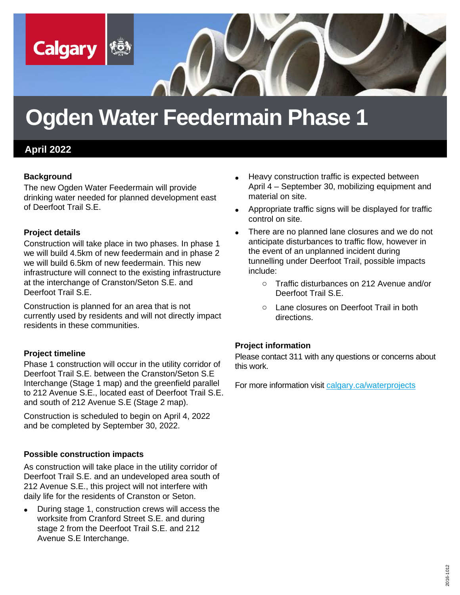

# **Ogden Water Feedermain Phase 1**

## **April 2022**

#### **Background**

The new Ogden Water Feedermain will provide drinking water needed for planned development east of Deerfoot Trail S.E.

#### **Project details**

Construction will take place in two phases. In phase 1 we will build 4.5km of new feedermain and in phase 2 we will build 6.5km of new feedermain. This new infrastructure will connect to the existing infrastructure at the interchange of Cranston/Seton S.E. and Deerfoot Trail S.E.

Construction is planned for an area that is not currently used by residents and will not directly impact residents in these communities.

### **Project timeline**

Phase 1 construction will occur in the utility corridor of Deerfoot Trail S.E. between the Cranston/Seton S.E Interchange (Stage 1 map) and the greenfield parallel to 212 Avenue S.E., located east of Deerfoot Trail S.E. and south of 212 Avenue S.E (Stage 2 map).

Construction is scheduled to begin on April 4, 2022 and be completed by September 30, 2022.

#### **Possible construction impacts**

As construction will take place in the utility corridor of Deerfoot Trail S.E. and an undeveloped area south of 212 Avenue S.E., this project will not interfere with daily life for the residents of Cranston or Seton.

• During stage 1, construction crews will access the worksite from Cranford Street S.E. and during stage 2 from the Deerfoot Trail S.E. and 212 Avenue S.E Interchange.

- Heavy construction traffic is expected between April 4 – September 30, mobilizing equipment and material on site.
- Appropriate traffic signs will be displayed for traffic control on site.
- There are no planned lane closures and we do not anticipate disturbances to traffic flow, however in the event of an unplanned incident during tunnelling under Deerfoot Trail, possible impacts include:
	- o Traffic disturbances on 212 Avenue and/or Deerfoot Trail S.E.
	- o Lane closures on Deerfoot Trail in both directions.

### **Project information**

Please contact 311 with any questions or concerns about this work.

For more information visit [calgary.ca/waterprojects](http://www.calgary.ca/waterprojects)